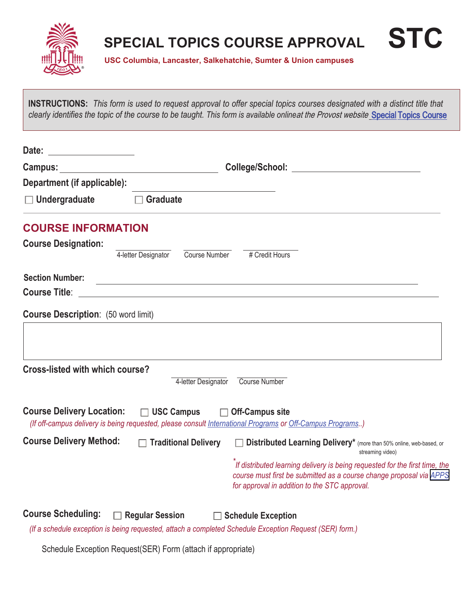

## **SPECIAL TOPICS COURSE APPROVAL STC**

**USC Columbia, Lancaster, Salkehatchie, Sumter & Union campuses**

**INSTRUCTIONS:** *This form is used to request approval to offer special topics courses designated with a distinct title that clearly identifies the topic of the course to be taught. This form is available online*at the Provost website Special [Topics Course](https://www.sc.edu/about/offices_and_divisions/provost/docs/specialtopicscourse_stc.pdf)

| <u> 1999 - Jan Barbara III, prima postala prima prima prima prima prima prima prima prima prima prima prima prim</u><br>Date: |                                                                                                                                                                                                                                |                                                                                                                                                                                                     |  |  |
|-------------------------------------------------------------------------------------------------------------------------------|--------------------------------------------------------------------------------------------------------------------------------------------------------------------------------------------------------------------------------|-----------------------------------------------------------------------------------------------------------------------------------------------------------------------------------------------------|--|--|
| Campus:                                                                                                                       | College/School: Engineering and the college of the college of the college of the college of the college of the college of the college of the college of the college of the college of the college of the college of the colleg |                                                                                                                                                                                                     |  |  |
| Department (if applicable):                                                                                                   |                                                                                                                                                                                                                                |                                                                                                                                                                                                     |  |  |
| $\Box$ Undergraduate                                                                                                          | <b>Graduate</b>                                                                                                                                                                                                                |                                                                                                                                                                                                     |  |  |
| <b>COURSE INFORMATION</b>                                                                                                     |                                                                                                                                                                                                                                |                                                                                                                                                                                                     |  |  |
| <b>Course Designation:</b>                                                                                                    |                                                                                                                                                                                                                                |                                                                                                                                                                                                     |  |  |
|                                                                                                                               | Course Number<br>4-letter Designator                                                                                                                                                                                           | # Credit Hours                                                                                                                                                                                      |  |  |
| <b>Section Number:</b>                                                                                                        |                                                                                                                                                                                                                                | <u> 1989 - Andrea Station Barbara, actor a component de la componentación de la componentación de la componentaci</u>                                                                               |  |  |
| <b>Course Title:</b>                                                                                                          | <u> 1989 - Johann Stein, synsk politik foar de oarnamme fan de oarnamme fan de oarnamme fan de oarnamme fan de o</u>                                                                                                           |                                                                                                                                                                                                     |  |  |
| <b>Course Description:</b> (50 word limit)                                                                                    |                                                                                                                                                                                                                                |                                                                                                                                                                                                     |  |  |
|                                                                                                                               |                                                                                                                                                                                                                                |                                                                                                                                                                                                     |  |  |
|                                                                                                                               |                                                                                                                                                                                                                                |                                                                                                                                                                                                     |  |  |
| <b>Cross-listed with which course?</b>                                                                                        |                                                                                                                                                                                                                                |                                                                                                                                                                                                     |  |  |
|                                                                                                                               | 4-letter Designator                                                                                                                                                                                                            | <b>Course Number</b>                                                                                                                                                                                |  |  |
| <b>Course Delivery Location:</b>                                                                                              | $\Box$ USC Campus<br>$\Box$                                                                                                                                                                                                    | <b>Off-Campus site</b><br>(If off-campus delivery is being requested, please consult International Programs or Off-Campus Programs)                                                                 |  |  |
| <b>Course Delivery Method:</b>                                                                                                | $\Box$ Traditional Delivery                                                                                                                                                                                                    | <b>Distributed Learning Delivery</b> <sup>*</sup> (more than 50% online, web-based, or<br>streaming video)                                                                                          |  |  |
|                                                                                                                               |                                                                                                                                                                                                                                | If distributed learning delivery is being requested for the first time, the<br>course must first be submitted as a course change proposal via APPS<br>for approval in addition to the STC approval. |  |  |
| <b>Course Scheduling:</b>                                                                                                     | <b>Regular Session</b>                                                                                                                                                                                                         | <b>Schedule Exception</b>                                                                                                                                                                           |  |  |

*(If a schedule exception is being requested, attach a completed Schedule Exception Request (SER) form.)*

Schedule Exception Request(SER) Form (attach if appropriate)